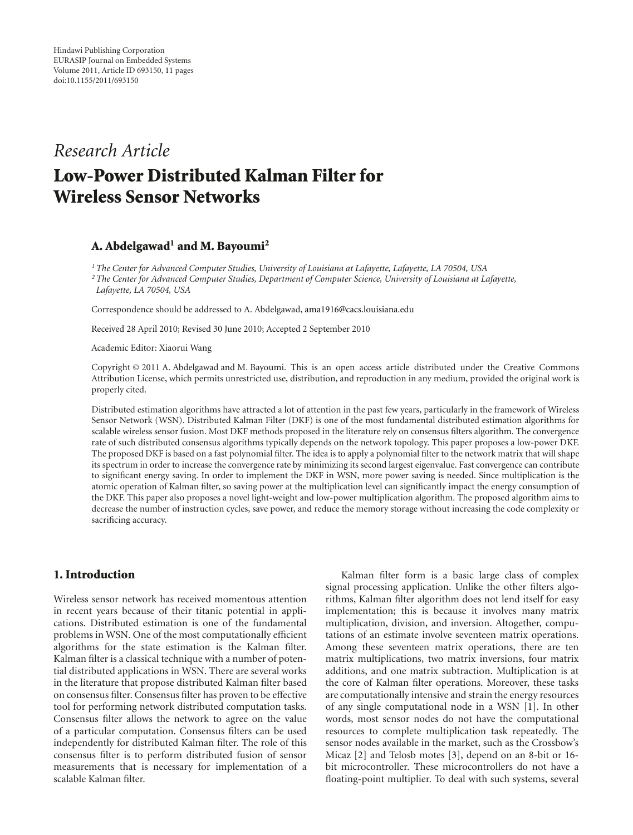# *Research Article* **Low-Power Distributed Kalman Filter for Wireless Sensor Networks**

# **A. Abdelgawad1 and M. Bayoumi2**

*1The Center for Advanced Computer Studies, University of Louisiana at Lafayette, Lafayette, LA 70504, USA 2The Center for Advanced Computer Studies, Department of Computer Science, University of Louisiana at Lafayette, Lafayette, LA 70504, USA*

Correspondence should be addressed to A. Abdelgawad, ama1916@cacs.louisiana.edu

Received 28 April 2010; Revised 30 June 2010; Accepted 2 September 2010

Academic Editor: Xiaorui Wang

Copyright © 2011 A. Abdelgawad and M. Bayoumi. This is an open access article distributed under the Creative Commons Attribution License, which permits unrestricted use, distribution, and reproduction in any medium, provided the original work is properly cited.

Distributed estimation algorithms have attracted a lot of attention in the past few years, particularly in the framework of Wireless Sensor Network (WSN). Distributed Kalman Filter (DKF) is one of the most fundamental distributed estimation algorithms for scalable wireless sensor fusion. Most DKF methods proposed in the literature rely on consensus filters algorithm. The convergence rate of such distributed consensus algorithms typically depends on the network topology. This paper proposes a low-power DKF. The proposed DKF is based on a fast polynomial filter. The idea is to apply a polynomial filter to the network matrix that will shape its spectrum in order to increase the convergence rate by minimizing its second largest eigenvalue. Fast convergence can contribute to significant energy saving. In order to implement the DKF in WSN, more power saving is needed. Since multiplication is the atomic operation of Kalman filter, so saving power at the multiplication level can significantly impact the energy consumption of the DKF. This paper also proposes a novel light-weight and low-power multiplication algorithm. The proposed algorithm aims to decrease the number of instruction cycles, save power, and reduce the memory storage without increasing the code complexity or sacrificing accuracy.

# **1. Introduction**

Wireless sensor network has received momentous attention in recent years because of their titanic potential in applications. Distributed estimation is one of the fundamental problems in WSN. One of the most computationally efficient algorithms for the state estimation is the Kalman filter. Kalman filter is a classical technique with a number of potential distributed applications in WSN. There are several works in the literature that propose distributed Kalman filter based on consensus filter. Consensus filter has proven to be effective tool for performing network distributed computation tasks. Consensus filter allows the network to agree on the value of a particular computation. Consensus filters can be used independently for distributed Kalman filter. The role of this consensus filter is to perform distributed fusion of sensor measurements that is necessary for implementation of a scalable Kalman filter.

Kalman filter form is a basic large class of complex signal processing application. Unlike the other filters algorithms, Kalman filter algorithm does not lend itself for easy implementation; this is because it involves many matrix multiplication, division, and inversion. Altogether, computations of an estimate involve seventeen matrix operations. Among these seventeen matrix operations, there are ten matrix multiplications, two matrix inversions, four matrix additions, and one matrix subtraction. Multiplication is at the core of Kalman filter operations. Moreover, these tasks are computationally intensive and strain the energy resources of any single computational node in a WSN [1]. In other words, most sensor nodes do not have the computational resources to complete multiplication task repeatedly. The sensor nodes available in the market, such as the Crossbow's Micaz [2] and Telosb motes [3], depend on an 8-bit or 16 bit microcontroller. These microcontrollers do not have a floating-point multiplier. To deal with such systems, several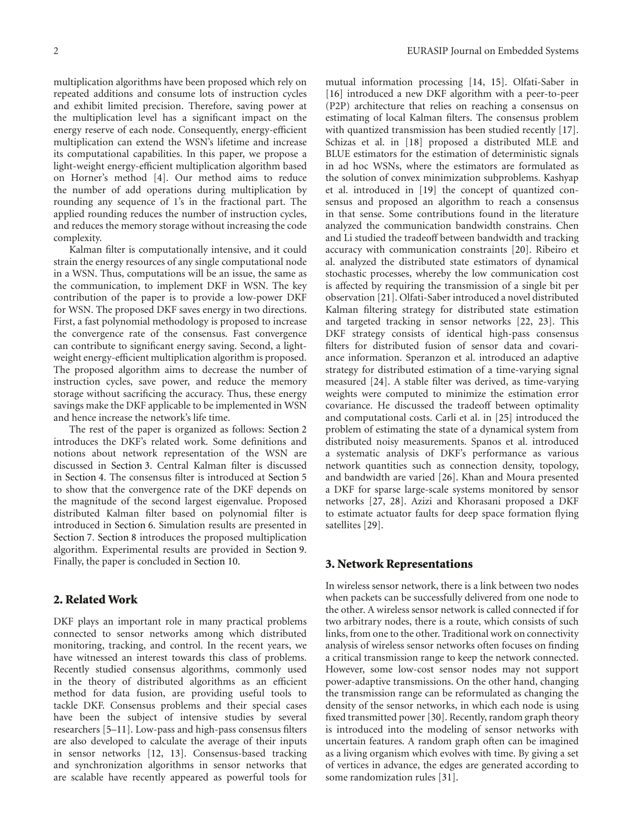multiplication algorithms have been proposed which rely on repeated additions and consume lots of instruction cycles and exhibit limited precision. Therefore, saving power at the multiplication level has a significant impact on the energy reserve of each node. Consequently, energy-efficient multiplication can extend the WSN's lifetime and increase its computational capabilities. In this paper, we propose a light-weight energy-efficient multiplication algorithm based on Horner's method [4]. Our method aims to reduce the number of add operations during multiplication by rounding any sequence of 1's in the fractional part. The applied rounding reduces the number of instruction cycles, and reduces the memory storage without increasing the code complexity.

Kalman filter is computationally intensive, and it could strain the energy resources of any single computational node in a WSN. Thus, computations will be an issue, the same as the communication, to implement DKF in WSN. The key contribution of the paper is to provide a low-power DKF for WSN. The proposed DKF saves energy in two directions. First, a fast polynomial methodology is proposed to increase the convergence rate of the consensus. Fast convergence can contribute to significant energy saving. Second, a lightweight energy-efficient multiplication algorithm is proposed. The proposed algorithm aims to decrease the number of instruction cycles, save power, and reduce the memory storage without sacrificing the accuracy. Thus, these energy savings make the DKF applicable to be implemented in WSN and hence increase the network's life time.

The rest of the paper is organized as follows: Section 2 introduces the DKF's related work. Some definitions and notions about network representation of the WSN are discussed in Section 3. Central Kalman filter is discussed in Section 4. The consensus filter is introduced at Section 5 to show that the convergence rate of the DKF depends on the magnitude of the second largest eigenvalue. Proposed distributed Kalman filter based on polynomial filter is introduced in Section 6. Simulation results are presented in Section 7. Section 8 introduces the proposed multiplication algorithm. Experimental results are provided in Section 9. Finally, the paper is concluded in Section 10.

# **2. Related Work**

DKF plays an important role in many practical problems connected to sensor networks among which distributed monitoring, tracking, and control. In the recent years, we have witnessed an interest towards this class of problems. Recently studied consensus algorithms, commonly used in the theory of distributed algorithms as an efficient method for data fusion, are providing useful tools to tackle DKF. Consensus problems and their special cases have been the subject of intensive studies by several researchers [5–11]. Low-pass and high-pass consensus filters are also developed to calculate the average of their inputs in sensor networks [12, 13]. Consensus-based tracking and synchronization algorithms in sensor networks that are scalable have recently appeared as powerful tools for

mutual information processing [14, 15]. Olfati-Saber in [16] introduced a new DKF algorithm with a peer-to-peer (P2P) architecture that relies on reaching a consensus on estimating of local Kalman filters. The consensus problem with quantized transmission has been studied recently [17]. Schizas et al. in [18] proposed a distributed MLE and BLUE estimators for the estimation of deterministic signals in ad hoc WSNs, where the estimators are formulated as the solution of convex minimization subproblems. Kashyap et al. introduced in [19] the concept of quantized consensus and proposed an algorithm to reach a consensus in that sense. Some contributions found in the literature analyzed the communication bandwidth constrains. Chen and Li studied the tradeoff between bandwidth and tracking accuracy with communication constraints [20]. Ribeiro et al. analyzed the distributed state estimators of dynamical stochastic processes, whereby the low communication cost is affected by requiring the transmission of a single bit per observation [21]. Olfati-Saber introduced a novel distributed Kalman filtering strategy for distributed state estimation and targeted tracking in sensor networks [22, 23]. This DKF strategy consists of identical high-pass consensus filters for distributed fusion of sensor data and covariance information. Speranzon et al. introduced an adaptive strategy for distributed estimation of a time-varying signal measured [24]. A stable filter was derived, as time-varying weights were computed to minimize the estimation error covariance. He discussed the tradeoff between optimality and computational costs. Carli et al. in [25] introduced the problem of estimating the state of a dynamical system from distributed noisy measurements. Spanos et al. introduced a systematic analysis of DKF's performance as various network quantities such as connection density, topology, and bandwidth are varied [26]. Khan and Moura presented a DKF for sparse large-scale systems monitored by sensor networks [27, 28]. Azizi and Khorasani proposed a DKF to estimate actuator faults for deep space formation flying satellites [29].

#### **3. Network Representations**

In wireless sensor network, there is a link between two nodes when packets can be successfully delivered from one node to the other. A wireless sensor network is called connected if for two arbitrary nodes, there is a route, which consists of such links, from one to the other. Traditional work on connectivity analysis of wireless sensor networks often focuses on finding a critical transmission range to keep the network connected. However, some low-cost sensor nodes may not support power-adaptive transmissions. On the other hand, changing the transmission range can be reformulated as changing the density of the sensor networks, in which each node is using fixed transmitted power [30]. Recently, random graph theory is introduced into the modeling of sensor networks with uncertain features. A random graph often can be imagined as a living organism which evolves with time. By giving a set of vertices in advance, the edges are generated according to some randomization rules [31].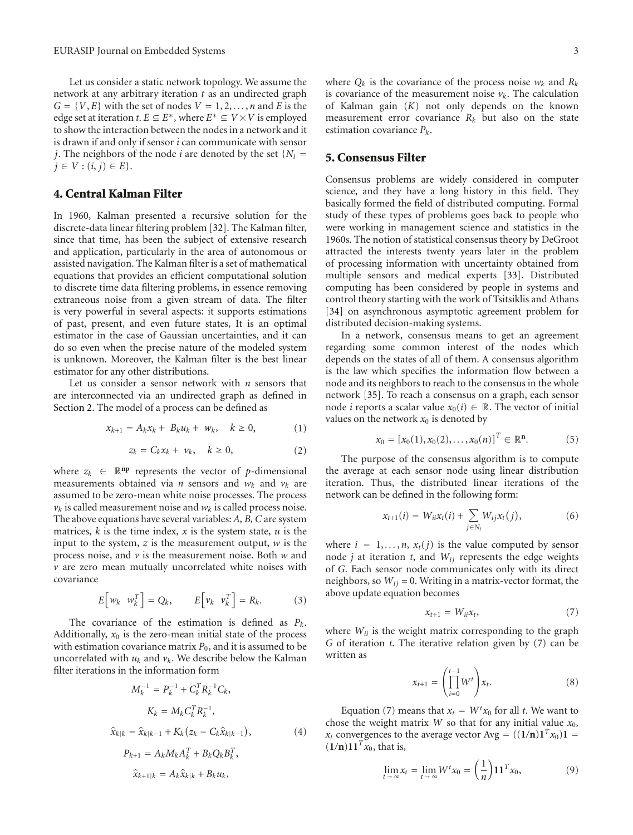Let us consider a static network topology. We assume the network at any arbitrary iteration *t* as an undirected graph  $G = \{V, E\}$  with the set of nodes  $V = 1, 2, \ldots, n$  and *E* is the edge set at iteration *t*.  $E \subseteq E^*$ , where  $E^* \subseteq V \times V$  is employed to show the interaction between the nodes in a network and it is drawn if and only if sensor *i* can communicate with sensor *j*. The neighbors of the node *i* are denoted by the set  ${N_i}$  = *j* ∈ *V* :  $(i, j)$  ∈ *E*}.

## **4. Central Kalman Filter**

In 1960, Kalman presented a recursive solution for the discrete-data linear filtering problem [32]. The Kalman filter, since that time, has been the subject of extensive research and application, particularly in the area of autonomous or assisted navigation. The Kalman filter is a set of mathematical equations that provides an efficient computational solution to discrete time data filtering problems, in essence removing extraneous noise from a given stream of data. The filter is very powerful in several aspects: it supports estimations of past, present, and even future states, It is an optimal estimator in the case of Gaussian uncertainties, and it can do so even when the precise nature of the modeled system is unknown. Moreover, the Kalman filter is the best linear estimator for any other distributions.

Let us consider a sensor network with *n* sensors that are interconnected via an undirected graph as defined in Section 2. The model of a process can be defined as

$$
x_{k+1} = A_k x_k + B_k u_k + w_k, \quad k \ge 0,
$$
 (1)

$$
z_k = C_k x_k + \nu_k, \quad k \ge 0,
$$
 (2)

where  $z_k \in \mathbb{R}^{np}$  represents the vector of *p*-dimensional measurements obtained via *n* sensors and  $w_k$  and  $v_k$  are assumed to be zero-mean white noise processes. The process  $v_k$  is called measurement noise and  $w_k$  is called process noise. The above equations have several variables: *A, B, C* are system matrices, *k* is the time index, *x* is the system state, *u* is the input to the system, *z* is the measurement output, *w* is the process noise, and *v* is the measurement noise. Both *w* and *v* are zero mean mutually uncorrelated white noises with covariance

$$
E\Big[w_k \ \ w_k^T\Big] = Q_k, \qquad E\Big[v_k \ \ v_k^T\Big] = R_k. \tag{3}
$$

The covariance of the estimation is defined as *Pk*. Additionally,  $x_0$  is the zero-mean initial state of the process with estimation covariance matrix  $P_0$ , and it is assumed to be uncorrelated with  $u_k$  and  $v_k$ . We describe below the Kalman filter iterations in the information form

$$
M_{k}^{-1} = P_{k}^{-1} + C_{k}^{T} R_{k}^{-1} C_{k},
$$
  
\n
$$
K_{k} = M_{k} C_{k}^{T} R_{k}^{-1},
$$
  
\n
$$
\hat{x}_{k|k} = \hat{x}_{k|k-1} + K_{k} (z_{k} - C_{k} \hat{x}_{k|k-1}),
$$
  
\n
$$
P_{k+1} = A_{k} M_{k} A_{k}^{T} + B_{k} Q_{k} B_{k}^{T},
$$
  
\n
$$
\hat{x}_{k+1|k} = A_{k} \hat{x}_{k|k} + B_{k} u_{k},
$$
  
\n(4)

where  $Q_k$  is the covariance of the process noise  $w_k$  and  $R_k$ is covariance of the measurement noise  $v_k$ . The calculation of Kalman gain (*K*) not only depends on the known measurement error covariance  $R_k$  but also on the state estimation covariance *Pk*.

#### **5. Consensus Filter**

Consensus problems are widely considered in computer science, and they have a long history in this field. They basically formed the field of distributed computing. Formal study of these types of problems goes back to people who were working in management science and statistics in the 1960s. The notion of statistical consensus theory by DeGroot attracted the interests twenty years later in the problem of processing information with uncertainty obtained from multiple sensors and medical experts [33]. Distributed computing has been considered by people in systems and control theory starting with the work of Tsitsiklis and Athans [34] on asynchronous asymptotic agreement problem for distributed decision-making systems.

In a network, consensus means to get an agreement regarding some common interest of the nodes which depends on the states of all of them. A consensus algorithm is the law which specifies the information flow between a node and its neighbors to reach to the consensus in the whole network [35]. To reach a consensus on a graph, each sensor node *i* reports a scalar value  $x_0(i) \in \mathbb{R}$ . The vector of initial values on the network  $x_0$  is denoted by

$$
x_0 = [x_0(1), x_0(2), \dots, x_0(n)]^T \in \mathbb{R}^n.
$$
 (5)

The purpose of the consensus algorithm is to compute the average at each sensor node using linear distribution iteration. Thus, the distributed linear iterations of the network can be defined in the following form:

$$
x_{t+1}(i) = W_{ii}x_t(i) + \sum_{j \in N_i} W_{ij}x_t(j),
$$
 (6)

where  $i = 1, \ldots, n$ ,  $x_t(j)$  is the value computed by sensor node *j* at iteration *t*, and *Wij* represents the edge weights of *G*. Each sensor node communicates only with its direct neighbors, so  $W_{ij} = 0$ . Writing in a matrix-vector format, the above update equation becomes

$$
x_{t+1} = W_{ii}x_t, \t\t(7)
$$

where  $W_{ii}$  is the weight matrix corresponding to the graph *G* of iteration *t*. The iterative relation given by (7) can be written as

$$
x_{t+1} = \left(\prod_{i=0}^{t-1} W^t\right) x_t.
$$
 (8)

Equation (7) means that  $x_t = W^t x_0$  for all *t*. We want to chose the weight matrix *W* so that for any initial value  $x_0$ ,  $x_t$  convergences to the average vector Avg =  $((1/n)1^T x_0)1$  =  $(1/n)11^{T}x_0$ , that is,

$$
\lim_{t \to \infty} x_t = \lim_{t \to \infty} W^t x_0 = \left(\frac{1}{n}\right) \mathbf{1} \mathbf{1}^T x_0,\tag{9}
$$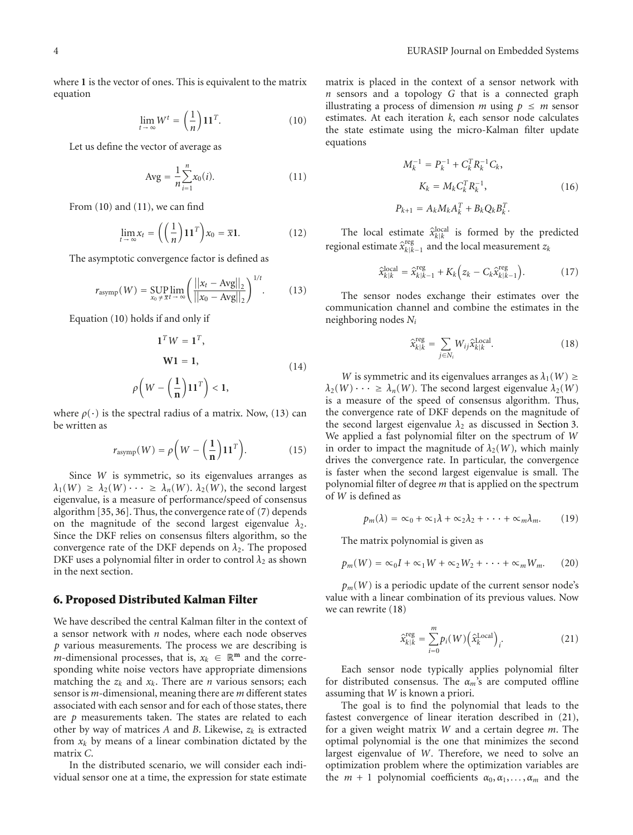where **1** is the vector of ones. This is equivalent to the matrix equation

$$
\lim_{t \to \infty} W^t = \left(\frac{1}{n}\right) \mathbf{1} \mathbf{1}^T. \tag{10}
$$

Let us define the vector of average as

Avg = 
$$
\frac{1}{n} \sum_{i=1}^{n} x_0(i).
$$
 (11)

From (10) and (11), we can find

$$
\lim_{t \to \infty} x_t = \left( \left( \frac{1}{n} \right) \mathbf{1} \mathbf{1}^T \right) x_0 = \overline{x} \mathbf{1}.
$$
 (12)

The asymptotic convergence factor is defined as

$$
r_{\text{asymp}}(W) = \sup_{x_0 \neq \overline{x}t \to \infty} \left( \frac{||x_t - \text{Avg}||_2}{||x_0 - \text{Avg}||_2} \right)^{1/t}.
$$
 (13)

Equation (10) holds if and only if

$$
\mathbf{1}^T W = \mathbf{1}^T,
$$
  
\n
$$
\mathbf{W}\mathbf{1} = \mathbf{1},
$$
  
\n
$$
\rho \left( W - \left( \frac{1}{\mathbf{n}} \right) \mathbf{1} \mathbf{1}^T \right) < \mathbf{1},
$$
\n(14)

where  $\rho(\cdot)$  is the spectral radius of a matrix. Now, (13) can be written as

$$
r_{\text{asymp}}(W) = \rho \left(W - \left(\frac{1}{n}\right) 11^T\right). \tag{15}
$$

Since *W* is symmetric, so its eigenvalues arranges as  $\lambda_1(W) \geq \lambda_2(W) \cdots \geq \lambda_n(W)$ .  $\lambda_2(W)$ , the second largest eigenvalue, is a measure of performance/speed of consensus algorithm [35, 36]. Thus, the convergence rate of (7) depends on the magnitude of the second largest eigenvalue  $\lambda_2$ . Since the DKF relies on consensus filters algorithm, so the convergence rate of the DKF depends on  $\lambda_2$ . The proposed DKF uses a polynomial filter in order to control  $\lambda_2$  as shown in the next section.

#### **6. Proposed Distributed Kalman Filter**

We have described the central Kalman filter in the context of a sensor network with *n* nodes, where each node observes *p* various measurements. The process we are describing is *m*-dimensional processes, that is,  $x_k \in \mathbb{R}^m$  and the corresponding white noise vectors have appropriate dimensions matching the  $z_k$  and  $x_k$ . There are *n* various sensors; each sensor is *m*-dimensional, meaning there are *m* different states associated with each sensor and for each of those states, there are *p* measurements taken. The states are related to each other by way of matrices *A* and *B*. Likewise, *zk* is extracted from  $x_k$  by means of a linear combination dictated by the matrix *C*.

In the distributed scenario, we will consider each individual sensor one at a time, the expression for state estimate

matrix is placed in the context of a sensor network with *n* sensors and a topology *G* that is a connected graph illustrating a process of dimension *m* using  $p \le m$  sensor estimates. At each iteration *k*, each sensor node calculates the state estimate using the micro-Kalman filter update equations

$$
M_k^{-1} = P_k^{-1} + C_k^T R_k^{-1} C_k,
$$
  
\n
$$
K_k = M_k C_k^T R_k^{-1},
$$
  
\n
$$
P_{k+1} = A_k M_k A_k^T + B_k Q_k B_k^T.
$$
\n(16)

The local estimate  $\hat{x}_{k|k}^{\text{local}}$  is formed by the predicted regional estimate  $\hat{x}_{k|k-1}^{\text{reg}}$  and the local measurement  $z_k$ 

$$
\hat{\mathbf{x}}_{k|k}^{\text{local}} = \hat{\mathbf{x}}_{k|k-1}^{\text{reg}} + K_k \Big( z_k - C_k \hat{\mathbf{x}}_{k|k-1}^{\text{reg}} \Big). \tag{17}
$$

The sensor nodes exchange their estimates over the communication channel and combine the estimates in the neighboring nodes *Ni*

$$
\hat{\mathbf{x}}_{k|k}^{\text{reg}} = \sum_{j \in N_i} W_{ij} \hat{\mathbf{x}}_{k|k}^{\text{Local}}.
$$
 (18)

*W* is symmetric and its eigenvalues arranges as  $\lambda_1(W) \geq$  $\lambda_2(W) \cdots \geq \lambda_n(W)$ . The second largest eigenvalue  $\lambda_2(W)$ is a measure of the speed of consensus algorithm. Thus, the convergence rate of DKF depends on the magnitude of the second largest eigenvalue  $\lambda_2$  as discussed in Section 3. We applied a fast polynomial filter on the spectrum of *W* in order to impact the magnitude of  $\lambda_2(W)$ , which mainly drives the convergence rate. In particular, the convergence is faster when the second largest eigenvalue is small. The polynomial filter of degree *m* that is applied on the spectrum of *W* is defined as

$$
p_m(\lambda) = \infty_0 + \infty_1 \lambda + \infty_2 \lambda_2 + \cdots + \infty_m \lambda_m. \qquad (19)
$$

The matrix polynomial is given as

$$
p_m(W) = \infty_0 I + \infty_1 W + \infty_2 W_2 + \cdots + \infty_m W_m.
$$
 (20)

 $p_m(W)$  is a periodic update of the current sensor node's value with a linear combination of its previous values. Now we can rewrite (18)

$$
\hat{x}_{k|k}^{\text{reg}} = \sum_{i=0}^{m} p_i(W) \left(\hat{x}_k^{\text{Local}}\right)_i.
$$
\n(21)

Each sensor node typically applies polynomial filter for distributed consensus. The *αm*'s are computed offline assuming that *W* is known a priori.

The goal is to find the polynomial that leads to the fastest convergence of linear iteration described in (21), for a given weight matrix *W* and a certain degree *m*. The optimal polynomial is the one that minimizes the second largest eigenvalue of *W.* Therefore, we need to solve an optimization problem where the optimization variables are the  $m + 1$  polynomial coefficients  $\alpha_0, \alpha_1, \ldots, \alpha_m$  and the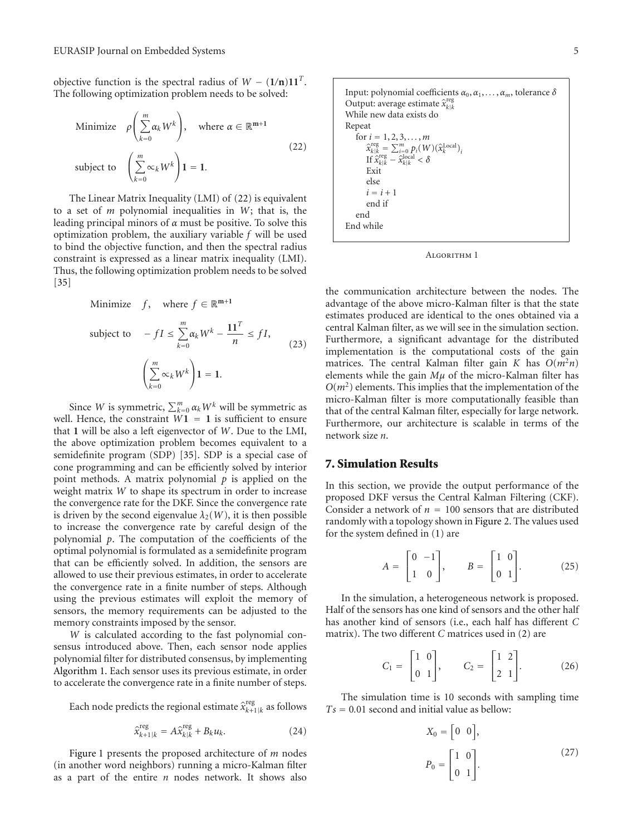objective function is the spectral radius of  $W - (1/n)11^T$ . The following optimization problem needs to be solved:

Minimize 
$$
\rho \left( \sum_{k=0}^{m} \alpha_k W^k \right)
$$
, where  $\alpha \in \mathbb{R}^{m+1}$   
subject to  $\left( \sum_{k=0}^{m} \alpha_k W^k \right) \mathbf{1} = \mathbf{1}.$  (22)

The Linear Matrix Inequality (LMI) of (22) is equivalent to a set of *m* polynomial inequalities in *W*; that is, the leading principal minors of *α* must be positive. To solve this optimization problem, the auxiliary variable *f* will be used to bind the objective function, and then the spectral radius constraint is expressed as a linear matrix inequality (LMI). Thus, the following optimization problem needs to be solved [35]

Minimize 
$$
f
$$
, where  $f \in \mathbb{R}^{m+1}$   
\nsubject to  $-fI \le \sum_{k=0}^{m} \alpha_k W^k - \frac{11^T}{n} \le fI$ , (23)  
\n
$$
\left(\sum_{k=0}^{m} \alpha_k W^k\right) \mathbf{1} = \mathbf{1}.
$$

Since *W* is symmetric,  $\sum_{k=0}^{m} \alpha_k W^k$  will be symmetric as well. Hence, the constraint  $W1 = 1$  is sufficient to ensure that **1** will be also a left eigenvector of *W*. Due to the LMI, the above optimization problem becomes equivalent to a semidefinite program (SDP) [35]. SDP is a special case of cone programming and can be efficiently solved by interior point methods. A matrix polynomial *p* is applied on the weight matrix *W* to shape its spectrum in order to increase the convergence rate for the DKF. Since the convergence rate is driven by the second eigenvalue  $\lambda_2(W)$ , it is then possible to increase the convergence rate by careful design of the polynomial *p*. The computation of the coefficients of the optimal polynomial is formulated as a semidefinite program that can be efficiently solved. In addition, the sensors are allowed to use their previous estimates, in order to accelerate the convergence rate in a finite number of steps. Although using the previous estimates will exploit the memory of sensors, the memory requirements can be adjusted to the memory constraints imposed by the sensor.

*W* is calculated according to the fast polynomial consensus introduced above. Then, each sensor node applies polynomial filter for distributed consensus, by implementing Algorithm 1. Each sensor uses its previous estimate, in order to accelerate the convergence rate in a finite number of steps.

Each node predicts the regional estimate  $\hat{x}_{k+1|k}^{\text{reg}}$  as follows

$$
\widehat{x}_{k+1|k}^{\text{reg}} = A \widehat{x}_{k|k}^{\text{reg}} + B_k u_k. \tag{24}
$$

Figure 1 presents the proposed architecture of *m* nodes (in another word neighbors) running a micro-Kalman filter as a part of the entire *n* nodes network. It shows also



Algorithm 1

the communication architecture between the nodes. The advantage of the above micro-Kalman filter is that the state estimates produced are identical to the ones obtained via a central Kalman filter, as we will see in the simulation section. Furthermore, a significant advantage for the distributed implementation is the computational costs of the gain matrices. The central Kalman filter gain *K* has  $O(m^2n)$ elements while the gain *Mμ* of the micro-Kalman filter has  $O(m^2)$  elements. This implies that the implementation of the micro-Kalman filter is more computationally feasible than that of the central Kalman filter, especially for large network. Furthermore, our architecture is scalable in terms of the network size *n*.

#### **7. Simulation Results**

In this section, we provide the output performance of the proposed DKF versus the Central Kalman Filtering (CKF). Consider a network of  $n = 100$  sensors that are distributed randomly with a topology shown in Figure 2. The values used for the system defined in (1) are

$$
A = \begin{bmatrix} 0 & -1 \\ 1 & 0 \end{bmatrix}, \qquad B = \begin{bmatrix} 1 & 0 \\ 0 & 1 \end{bmatrix}.
$$
 (25)

In the simulation, a heterogeneous network is proposed. Half of the sensors has one kind of sensors and the other half has another kind of sensors (i.e., each half has different *C* matrix). The two different *C* matrices used in (2) are

$$
C_1 = \begin{bmatrix} 1 & 0 \\ 0 & 1 \end{bmatrix}, \qquad C_2 = \begin{bmatrix} 1 & 2 \\ 2 & 1 \end{bmatrix}. \tag{26}
$$

The simulation time is 10 seconds with sampling time *Ts* <sup>=</sup> <sup>0</sup>*.*01 second and initial value as bellow:

$$
X_0 = \begin{bmatrix} 0 & 0 \end{bmatrix},
$$
  
\n
$$
P_0 = \begin{bmatrix} 1 & 0 \\ 0 & 1 \end{bmatrix}.
$$
 (27)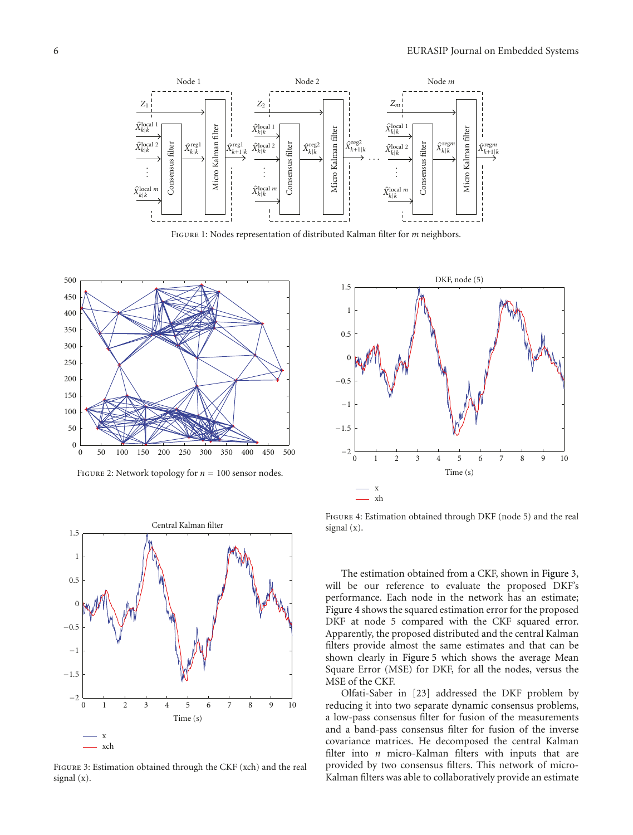

Figure 1: Nodes representation of distributed Kalman filter for *m* neighbors.



FIGURE 2: Network topology for  $n = 100$  sensor nodes.



Figure 3: Estimation obtained through the CKF (xch) and the real signal (x).



Figure 4: Estimation obtained through DKF (node 5) and the real signal (x).

The estimation obtained from a CKF, shown in Figure 3, will be our reference to evaluate the proposed DKF's performance. Each node in the network has an estimate; Figure 4 shows the squared estimation error for the proposed DKF at node 5 compared with the CKF squared error. Apparently, the proposed distributed and the central Kalman filters provide almost the same estimates and that can be shown clearly in Figure 5 which shows the average Mean Square Error (MSE) for DKF, for all the nodes, versus the MSE of the CKF.

Olfati-Saber in [23] addressed the DKF problem by reducing it into two separate dynamic consensus problems, a low-pass consensus filter for fusion of the measurements and a band-pass consensus filter for fusion of the inverse covariance matrices. He decomposed the central Kalman filter into *n* micro-Kalman filters with inputs that are provided by two consensus filters. This network of micro-Kalman filters was able to collaboratively provide an estimate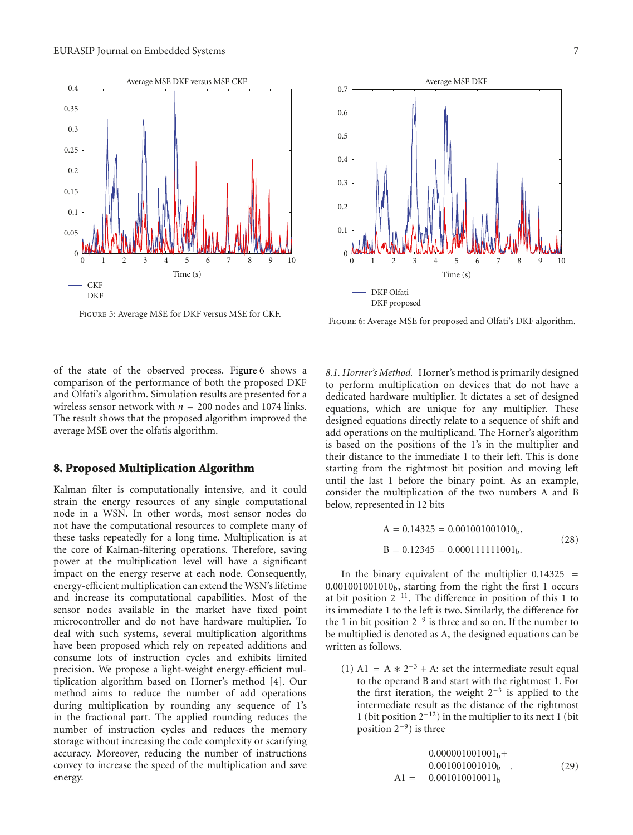

Figure 5: Average MSE for DKF versus MSE for CKF.



Figure 6: Average MSE for proposed and Olfati's DKF algorithm.

of the state of the observed process. Figure 6 shows a comparison of the performance of both the proposed DKF and Olfati's algorithm. Simulation results are presented for a wireless sensor network with *<sup>n</sup>* <sup>=</sup> 200 nodes and 1074 links. The result shows that the proposed algorithm improved the average MSE over the olfatis algorithm.

#### **8. Proposed Multiplication Algorithm**

Kalman filter is computationally intensive, and it could strain the energy resources of any single computational node in a WSN. In other words, most sensor nodes do not have the computational resources to complete many of these tasks repeatedly for a long time. Multiplication is at the core of Kalman-filtering operations. Therefore, saving power at the multiplication level will have a significant impact on the energy reserve at each node. Consequently, energy-efficient multiplication can extend the WSN's lifetime and increase its computational capabilities. Most of the sensor nodes available in the market have fixed point microcontroller and do not have hardware multiplier. To deal with such systems, several multiplication algorithms have been proposed which rely on repeated additions and consume lots of instruction cycles and exhibits limited precision. We propose a light-weight energy-efficient multiplication algorithm based on Horner's method [4]. Our method aims to reduce the number of add operations during multiplication by rounding any sequence of 1's in the fractional part. The applied rounding reduces the number of instruction cycles and reduces the memory storage without increasing the code complexity or scarifying accuracy. Moreover, reducing the number of instructions convey to increase the speed of the multiplication and save energy.

*8.1. Horner's Method.* Horner's method is primarily designed to perform multiplication on devices that do not have a dedicated hardware multiplier. It dictates a set of designed equations, which are unique for any multiplier. These designed equations directly relate to a sequence of shift and add operations on the multiplicand. The Horner's algorithm is based on the positions of the 1's in the multiplier and their distance to the immediate 1 to their left. This is done starting from the rightmost bit position and moving left until the last 1 before the binary point. As an example, consider the multiplication of the two numbers A and B below, represented in 12 bits

$$
A = 0.14325 = 0.001001001010b,
$$
  
\n
$$
B = 0.12345 = 0.000111111001b.
$$
 (28)

In the binary equivalent of the multiplier 0*.*<sup>14325</sup> <sup>=</sup> 0*.*001001001010b, starting from the right the first 1 occurs at bit position 2−11. The difference in position of this 1 to its immediate 1 to the left is two. Similarly, the difference for the 1 in bit position  $2^{-9}$  is three and so on. If the number to be multiplied is denoted as A, the designed equations can be written as follows.

(1) A1 = A  $* 2^{-3}$  + A: set the intermediate result equal to the operand B and start with the rightmost 1. For the first iteration, the weight  $2^{-3}$  is applied to the intermediate result as the distance of the rightmost 1 (bit position 2−12) in the multiplier to its next 1 (bit position 2−9) is three

$$
A1 = \frac{0.000001001001_b+}{0.001001001010_b}.
$$
 (29)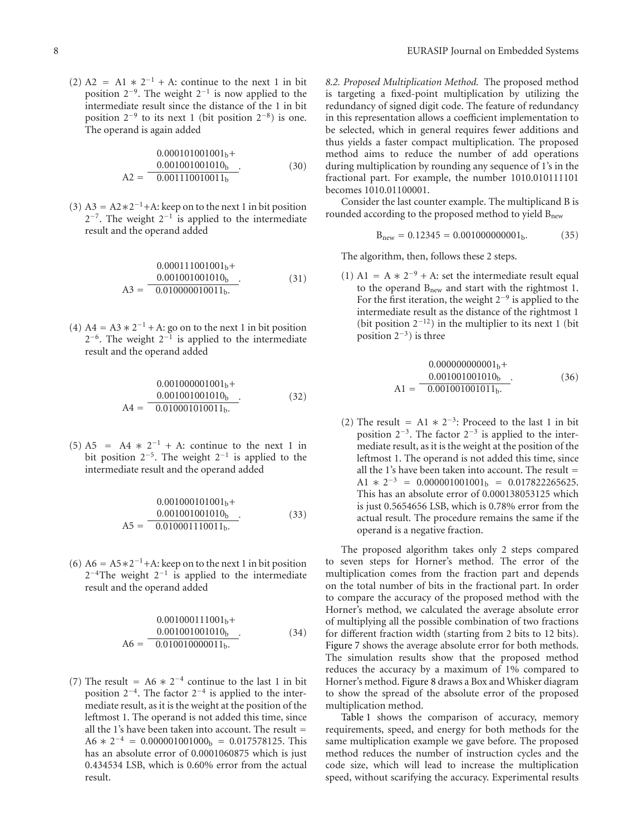(2) A2 = A1  $* 2^{-1} + A$ : continue to the next 1 in bit position  $2^{-9}$ . The weight  $2^{-1}$  is now applied to the intermediate result since the distance of the 1 in bit position  $2^{-9}$  to its next 1 (bit position  $2^{-8}$ ) is one. The operand is again added

$$
0.000101001001b +\n0.001001001010b}{0.001110010011b}.
$$
\n(30)

(3) A3 = A2 $*2^{-1}$ +A: keep on to the next 1 in bit position  $2^{-7}$ . The weight  $2^{-1}$  is applied to the intermediate result and the operand added

$$
A3 = \frac{0.000111001001b}{0.001001001010b}.
$$
\n
$$
(31)
$$

(4) A4 = A3  $* 2^{-1}$  + A: go on to the next 1 in bit position  $2^{-6}$ . The weight  $2^{-1}$  is applied to the intermediate result and the operand added

$$
0.001000001001b +\n0.001001001010b}{0.01000101010b}.
$$
\n(32)

(5) A5 = A4  $* 2^{-1}$  + A: continue to the next 1 in bit position 2−5. The weight 2−<sup>1</sup> is applied to the intermediate result and the operand added

$$
0.001000101001b +\n0.001001001010b}{0.010001110011b}.
$$
\n(33)

(6) A6 = A5 $*2^{-1}$ +A: keep on to the next 1 in bit position  $2^{-4}$ The weight  $2^{-1}$  is applied to the intermediate result and the operand added

$$
A6 = \frac{0.001000111001_b +}{0.001001001010_b}.
$$
\n
$$
(34)
$$
\n
$$
A6 = \frac{0.010010000011_b}{0.010010000011_b}.
$$

(7) The result = A6  $* 2^{-4}$  continue to the last 1 in bit position  $2^{-4}$ . The factor  $2^{-4}$  is applied to the intermediate result, as it is the weight at the position of the leftmost 1. The operand is not added this time, since all the 1's have been taken into account. The result =  $A6 * 2^{-4} = 0.000001001000_b = 0.017578125$ . This has an absolute error of 0.0001060875 which is just 0.434534 LSB, which is 0.60% error from the actual result.

*8.2. Proposed Multiplication Method.* The proposed method is targeting a fixed-point multiplication by utilizing the redundancy of signed digit code. The feature of redundancy in this representation allows a coefficient implementation to be selected, which in general requires fewer additions and thus yields a faster compact multiplication. The proposed method aims to reduce the number of add operations during multiplication by rounding any sequence of 1's in the fractional part. For example, the number 1010.010111101 becomes 1010.01100001.

Consider the last counter example. The multiplicand B is rounded according to the proposed method to yield  $B<sub>new</sub>$ 

$$
B_{new} = 0.12345 = 0.001000000001_b. \tag{35}
$$

The algorithm, then, follows these 2 steps.

(1) A1 = A  $* 2^{-9}$  + A: set the intermediate result equal to the operand Bnew and start with the rightmost 1. For the first iteration, the weight 2−<sup>9</sup> is applied to the intermediate result as the distance of the rightmost 1 (bit position  $2^{-12}$ ) in the multiplier to its next 1 (bit position  $2^{-3}$ ) is three

$$
0.00000000001_{b}+
$$
  
\n
$$
A1 = \frac{0.001001001010_{b}}{0.001001001011_{b}}.
$$
 (36)

(2) The result = A1  $* 2^{-3}$ : Proceed to the last 1 in bit position 2−3. The factor 2−<sup>3</sup> is applied to the intermediate result, as it is the weight at the position of the leftmost 1. The operand is not added this time, since all the 1's have been taken into account. The result  $=$ A1  $\ast$  2<sup>-3</sup> = 0.000001001001<sub>b</sub> = 0.017822265625. This has an absolute error of 0.000138053125 which is just 0.5654656 LSB, which is 0.78% error from the actual result. The procedure remains the same if the operand is a negative fraction.

The proposed algorithm takes only 2 steps compared to seven steps for Horner's method. The error of the multiplication comes from the fraction part and depends on the total number of bits in the fractional part. In order to compare the accuracy of the proposed method with the Horner's method, we calculated the average absolute error of multiplying all the possible combination of two fractions for different fraction width (starting from 2 bits to 12 bits). Figure 7 shows the average absolute error for both methods. The simulation results show that the proposed method reduces the accuracy by a maximum of 1% compared to Horner's method. Figure 8 draws a Box and Whisker diagram to show the spread of the absolute error of the proposed multiplication method.

Table 1 shows the comparison of accuracy, memory requirements, speed, and energy for both methods for the same multiplication example we gave before. The proposed method reduces the number of instruction cycles and the code size, which will lead to increase the multiplication speed, without scarifying the accuracy. Experimental results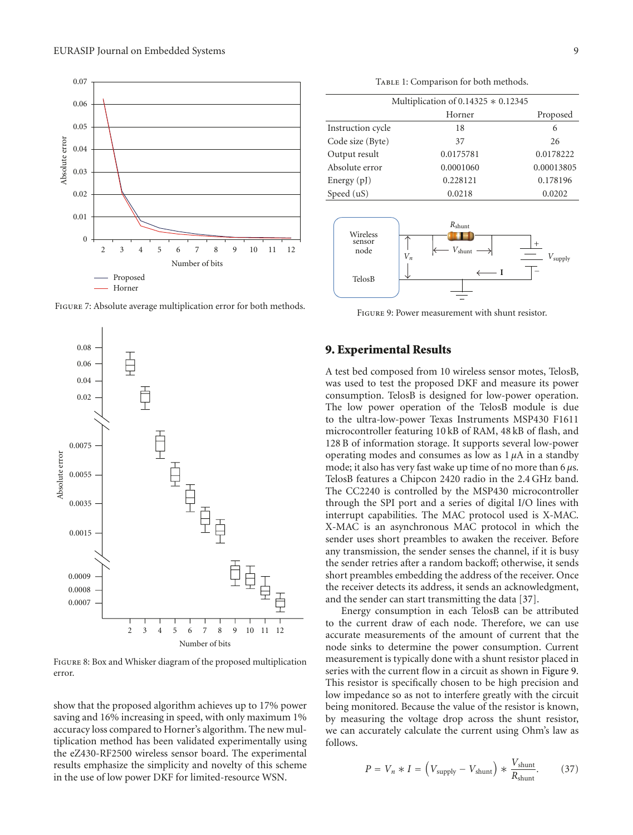

Figure 7: Absolute average multiplication error for both methods.



Figure 8: Box and Whisker diagram of the proposed multiplication error.

show that the proposed algorithm achieves up to 17% power saving and 16% increasing in speed, with only maximum 1% accuracy loss compared to Horner's algorithm. The new multiplication method has been validated experimentally using the eZ430-RF2500 wireless sensor board. The experimental results emphasize the simplicity and novelty of this scheme in the use of low power DKF for limited-resource WSN.

TABLE 1: Comparison for both methods.

| Multiplication of $0.14325 * 0.12345$ |           |            |
|---------------------------------------|-----------|------------|
|                                       | Horner    | Proposed   |
| Instruction cycle                     | 18        | 6          |
| Code size (Byte)                      | 37        | 26         |
| Output result                         | 0.0175781 | 0.0178222  |
| Absolute error                        | 0.0001060 | 0.00013805 |
| Energy $(pJ)$                         | 0.228121  | 0.178196   |
| Speed (uS)                            | 0.0218    | 0.0202     |



Figure 9: Power measurement with shunt resistor.

#### **9. Experimental Results**

A test bed composed from 10 wireless sensor motes, TelosB, was used to test the proposed DKF and measure its power consumption. TelosB is designed for low-power operation. The low power operation of the TelosB module is due to the ultra-low-power Texas Instruments MSP430 F1611 microcontroller featuring 10 kB of RAM, 48 kB of flash, and 128 B of information storage. It supports several low-power operating modes and consumes as low as 1 *μ*A in a standby mode; it also has very fast wake up time of no more than 6 *μ*s. TelosB features a Chipcon 2420 radio in the 2.4 GHz band. The CC2240 is controlled by the MSP430 microcontroller through the SPI port and a series of digital I/O lines with interrupt capabilities. The MAC protocol used is X-MAC. X-MAC is an asynchronous MAC protocol in which the sender uses short preambles to awaken the receiver. Before any transmission, the sender senses the channel, if it is busy the sender retries after a random backoff; otherwise, it sends short preambles embedding the address of the receiver. Once the receiver detects its address, it sends an acknowledgment, and the sender can start transmitting the data [37].

Energy consumption in each TelosB can be attributed to the current draw of each node. Therefore, we can use accurate measurements of the amount of current that the node sinks to determine the power consumption. Current measurement is typically done with a shunt resistor placed in series with the current flow in a circuit as shown in Figure 9. This resistor is specifically chosen to be high precision and low impedance so as not to interfere greatly with the circuit being monitored. Because the value of the resistor is known, by measuring the voltage drop across the shunt resistor, we can accurately calculate the current using Ohm's law as follows.

$$
P = V_n * I = (V_{\text{supply}} - V_{\text{shunt}}) * \frac{V_{\text{shunt}}}{R_{\text{shunt}}}.
$$
 (37)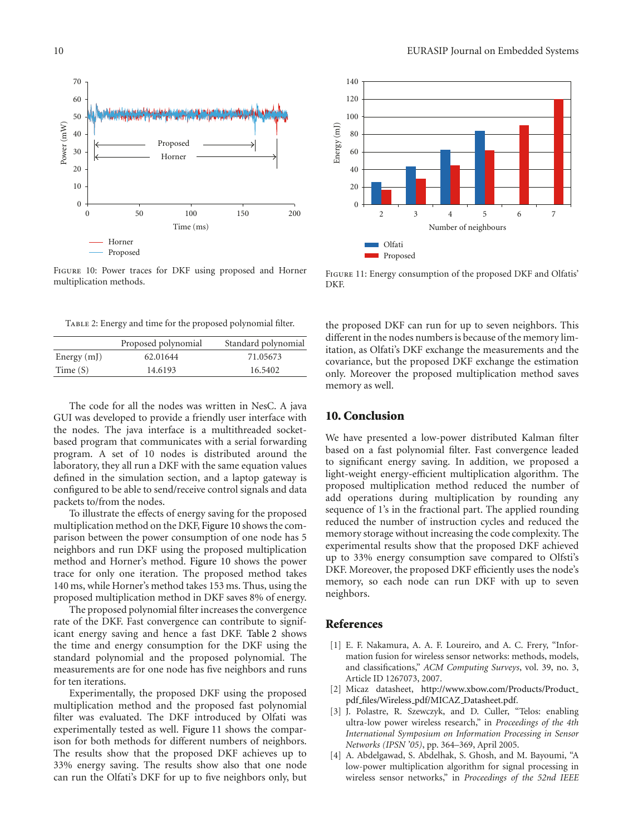

Figure 10: Power traces for DKF using proposed and Horner multiplication methods.

Table 2: Energy and time for the proposed polynomial filter.

|               | Proposed polynomial | Standard polynomial |
|---------------|---------------------|---------------------|
| Energy $(mJ)$ | 62.01644            | 71.05673            |
| Time $(S)$    | 14.6193             | 16.5402             |

The code for all the nodes was written in NesC. A java GUI was developed to provide a friendly user interface with the nodes. The java interface is a multithreaded socketbased program that communicates with a serial forwarding program. A set of 10 nodes is distributed around the laboratory, they all run a DKF with the same equation values defined in the simulation section, and a laptop gateway is configured to be able to send/receive control signals and data packets to/from the nodes.

To illustrate the effects of energy saving for the proposed multiplication method on the DKF, Figure 10 shows the comparison between the power consumption of one node has 5 neighbors and run DKF using the proposed multiplication method and Horner's method. Figure 10 shows the power trace for only one iteration. The proposed method takes 140 ms, while Horner's method takes 153 ms. Thus, using the proposed multiplication method in DKF saves 8% of energy.

The proposed polynomial filter increases the convergence rate of the DKF. Fast convergence can contribute to significant energy saving and hence a fast DKF. Table 2 shows the time and energy consumption for the DKF using the standard polynomial and the proposed polynomial. The measurements are for one node has five neighbors and runs for ten iterations.

Experimentally, the proposed DKF using the proposed multiplication method and the proposed fast polynomial filter was evaluated. The DKF introduced by Olfati was experimentally tested as well. Figure 11 shows the comparison for both methods for different numbers of neighbors. The results show that the proposed DKF achieves up to 33% energy saving. The results show also that one node can run the Olfati's DKF for up to five neighbors only, but



Figure 11: Energy consumption of the proposed DKF and Olfatis' DKF.

the proposed DKF can run for up to seven neighbors. This different in the nodes numbers is because of the memory limitation, as Olfati's DKF exchange the measurements and the covariance, but the proposed DKF exchange the estimation only. Moreover the proposed multiplication method saves memory as well.

## **10. Conclusion**

We have presented a low-power distributed Kalman filter based on a fast polynomial filter. Fast convergence leaded to significant energy saving. In addition, we proposed a light-weight energy-efficient multiplication algorithm. The proposed multiplication method reduced the number of add operations during multiplication by rounding any sequence of 1's in the fractional part. The applied rounding reduced the number of instruction cycles and reduced the memory storage without increasing the code complexity. The experimental results show that the proposed DKF achieved up to 33% energy consumption save compared to Olfsti's DKF. Moreover, the proposed DKF efficiently uses the node's memory, so each node can run DKF with up to seven neighbors.

## **References**

- [1] E. F. Nakamura, A. A. F. Loureiro, and A. C. Frery, "Information fusion for wireless sensor networks: methods, models, and classifications," *ACM Computing Surveys*, vol. 39, no. 3, Article ID 1267073, 2007.
- [2] Micaz datasheet, http://www.xbow.com/Products/Product pdf files/Wireless pdf/MICAZ Datasheet.pdf.
- [3] J. Polastre, R. Szewczyk, and D. Culler, "Telos: enabling ultra-low power wireless research," in *Proceedings of the 4th International Symposium on Information Processing in Sensor Networks (IPSN '05)*, pp. 364–369, April 2005.
- [4] A. Abdelgawad, S. Abdelhak, S. Ghosh, and M. Bayoumi, "A low-power multiplication algorithm for signal processing in wireless sensor networks," in *Proceedings of the 52nd IEEE*